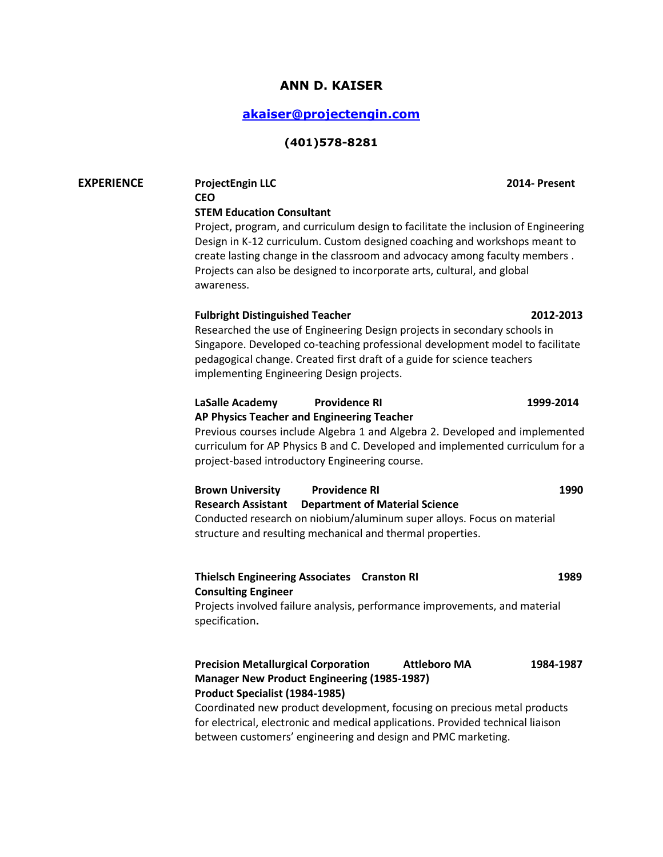# **ANN D. KAISER**

# **[akaiser@projectengin.com](mailto:akaiser@projectengin.com)**

#### **(401)578-8281**

# **EXPERIENCE ProjectEngin LLC 2014- Present CEO STEM Education Consultant**  Project, program, and curriculum design to facilitate the inclusion of Engineering Design in K-12 curriculum. Custom designed coaching and workshops meant to create lasting change in the classroom and advocacy among faculty members . Projects can also be designed to incorporate arts, cultural, and global awareness. **Fulbright Distinguished Teacher 2012-2013** Researched the use of Engineering Design projects in secondary schools in Singapore. Developed co-teaching professional development model to facilitate pedagogical change. Created first draft of a guide for science teachers implementing Engineering Design projects. **LaSalle Academy Providence RI 1999-2014 AP Physics Teacher and Engineering Teacher** Previous courses include Algebra 1 and Algebra 2. Developed and implemented curriculum for AP Physics B and C. Developed and implemented curriculum for a project-based introductory Engineering course. **Brown University Providence RI 1990 Research Assistant Department of Material Science** Conducted research on niobium/aluminum super alloys. Focus on material structure and resulting mechanical and thermal properties. **Thielsch Engineering Associates Cranston RI 1989 Consulting Engineer** Projects involved failure analysis, performance improvements, and material specification**. Precision Metallurgical Corporation Attleboro MA 1984-1987 Manager New Product Engineering (1985-1987) Product Specialist (1984-1985)** Coordinated new product development, focusing on precious metal products

for electrical, electronic and medical applications. Provided technical liaison between customers' engineering and design and PMC marketing.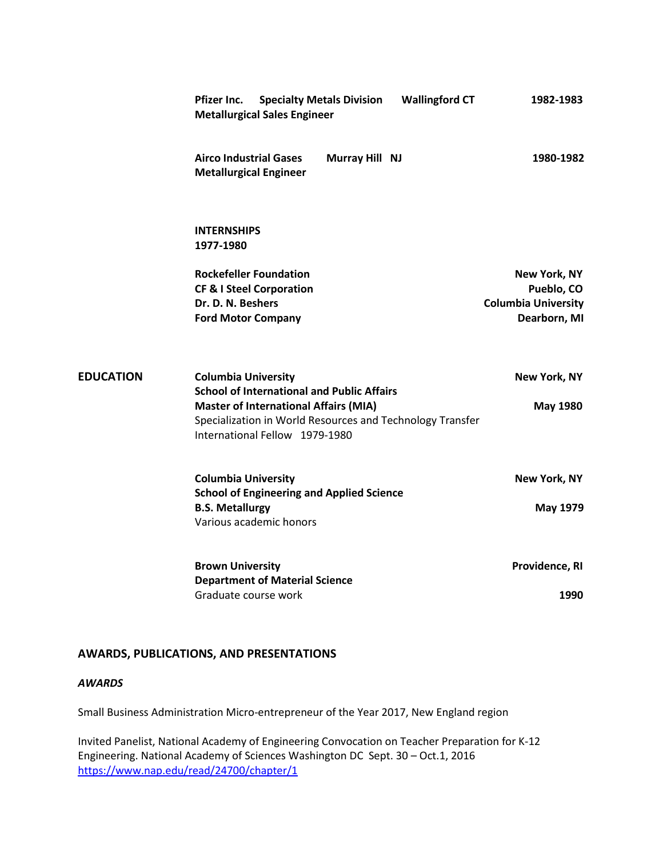| <b>Specialty Metals Division</b><br><b>Wallingford CT</b><br>Pfizer Inc.<br><b>Metallurgical Sales Engineer</b> | 1982-1983                                  |
|-----------------------------------------------------------------------------------------------------------------|--------------------------------------------|
| <b>Airco Industrial Gases</b><br>Murray Hill NJ<br><b>Metallurgical Engineer</b>                                | 1980-1982                                  |
| <b>INTERNSHIPS</b><br>1977-1980                                                                                 |                                            |
| <b>Rockefeller Foundation</b>                                                                                   | New York, NY                               |
| <b>CF &amp; I Steel Corporation</b>                                                                             | Pueblo, CO                                 |
| Dr. D. N. Beshers<br><b>Ford Motor Company</b>                                                                  | <b>Columbia University</b><br>Dearborn, MI |
|                                                                                                                 |                                            |
| <b>Columbia University</b><br><b>School of International and Public Affairs</b>                                 | New York, NY                               |
| <b>Master of International Affairs (MIA)</b>                                                                    | <b>May 1980</b>                            |
| Specialization in World Resources and Technology Transfer                                                       |                                            |
| International Fellow 1979-1980                                                                                  |                                            |
| <b>Columbia University</b>                                                                                      | New York, NY                               |
| <b>School of Engineering and Applied Science</b>                                                                |                                            |
| <b>B.S. Metallurgy</b>                                                                                          | <b>May 1979</b>                            |
| Various academic honors                                                                                         |                                            |
| <b>Brown University</b>                                                                                         | Providence, RI                             |
| <b>Department of Material Science</b>                                                                           |                                            |
| Graduate course work                                                                                            | 1990                                       |

# **AWARDS, PUBLICATIONS, AND PRESENTATIONS**

#### *AWARDS*

**EDUCATION** 

Small Business Administration Micro-entrepreneur of the Year 2017, New England region

Invited Panelist, National Academy of Engineering Convocation on Teacher Preparation for K-12 Engineering. National Academy of Sciences Washington DC Sept. 30 – Oct.1, 2016 <https://www.nap.edu/read/24700/chapter/1>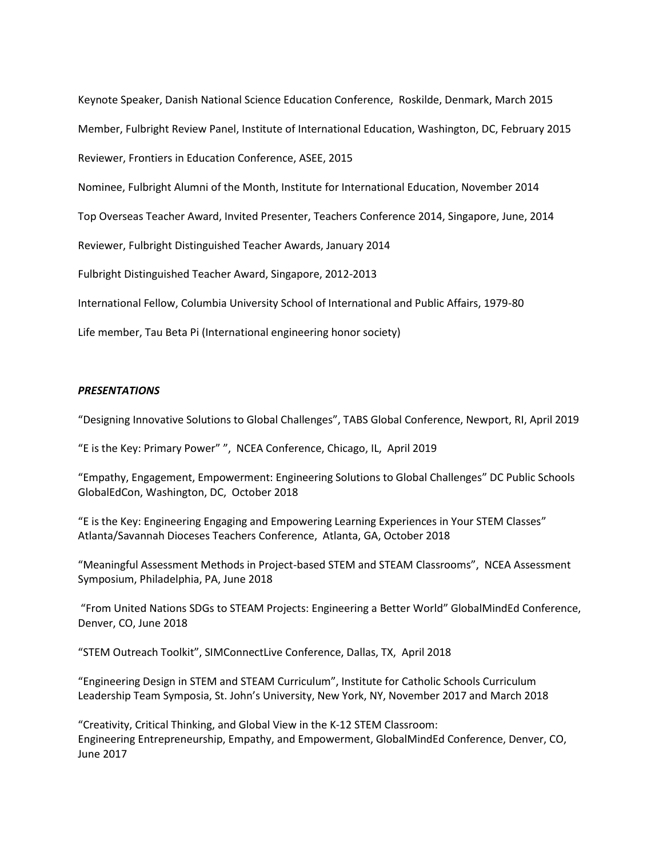Keynote Speaker, Danish National Science Education Conference, Roskilde, Denmark, March 2015 Member, Fulbright Review Panel, Institute of International Education, Washington, DC, February 2015 Reviewer, Frontiers in Education Conference, ASEE, 2015 Nominee, Fulbright Alumni of the Month, Institute for International Education, November 2014 Top Overseas Teacher Award, Invited Presenter, Teachers Conference 2014, Singapore, June, 2014 Reviewer, Fulbright Distinguished Teacher Awards, January 2014 Fulbright Distinguished Teacher Award, Singapore, 2012-2013 International Fellow, Columbia University School of International and Public Affairs, 1979-80 Life member, Tau Beta Pi (International engineering honor society)

#### *PRESENTATIONS*

"Designing Innovative Solutions to Global Challenges", TABS Global Conference, Newport, RI, April 2019

"E is the Key: Primary Power" ", NCEA Conference, Chicago, IL, April 2019

"Empathy, Engagement, Empowerment: Engineering Solutions to Global Challenges" DC Public Schools GlobalEdCon, Washington, DC, October 2018

"E is the Key: Engineering Engaging and Empowering Learning Experiences in Your STEM Classes" Atlanta/Savannah Dioceses Teachers Conference, Atlanta, GA, October 2018

"Meaningful Assessment Methods in Project-based STEM and STEAM Classrooms", NCEA Assessment Symposium, Philadelphia, PA, June 2018

"From United Nations SDGs to STEAM Projects: Engineering a Better World" GlobalMindEd Conference, Denver, CO, June 2018

"STEM Outreach Toolkit", SIMConnectLive Conference, Dallas, TX, April 2018

"Engineering Design in STEM and STEAM Curriculum", Institute for Catholic Schools Curriculum Leadership Team Symposia, St. John's University, New York, NY, November 2017 and March 2018

"Creativity, Critical Thinking, and Global View in the K-12 STEM Classroom: Engineering Entrepreneurship, Empathy, and Empowerment, GlobalMindEd Conference, Denver, CO, June 2017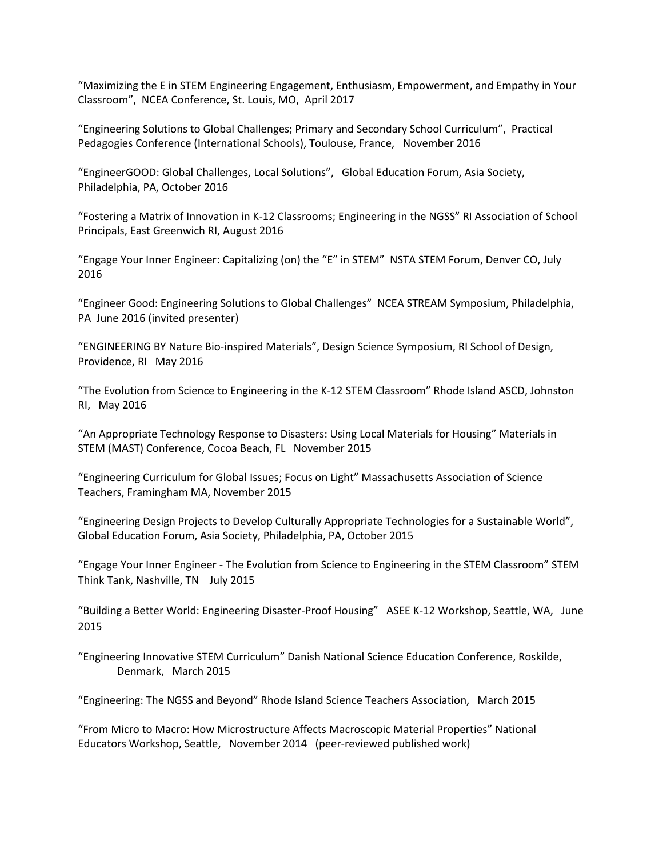"Maximizing the E in STEM Engineering Engagement, Enthusiasm, Empowerment, and Empathy in Your Classroom", NCEA Conference, St. Louis, MO, April 2017

"Engineering Solutions to Global Challenges; Primary and Secondary School Curriculum", Practical Pedagogies Conference (International Schools), Toulouse, France, November 2016

"EngineerGOOD: Global Challenges, Local Solutions", Global Education Forum, Asia Society, Philadelphia, PA, October 2016

"Fostering a Matrix of Innovation in K-12 Classrooms; Engineering in the NGSS" RI Association of School Principals, East Greenwich RI, August 2016

"Engage Your Inner Engineer: Capitalizing (on) the "E" in STEM" NSTA STEM Forum, Denver CO, July 2016

"Engineer Good: Engineering Solutions to Global Challenges" NCEA STREAM Symposium, Philadelphia, PA June 2016 (invited presenter)

"ENGINEERING BY Nature Bio-inspired Materials", Design Science Symposium, RI School of Design, Providence, RI May 2016

"The Evolution from Science to Engineering in the K-12 STEM Classroom" Rhode Island ASCD, Johnston RI, May 2016

"An Appropriate Technology Response to Disasters: Using Local Materials for Housing" Materials in STEM (MAST) Conference, Cocoa Beach, FL November 2015

"Engineering Curriculum for Global Issues; Focus on Light" Massachusetts Association of Science Teachers, Framingham MA, November 2015

"Engineering Design Projects to Develop Culturally Appropriate Technologies for a Sustainable World", Global Education Forum, Asia Society, Philadelphia, PA, October 2015

"Engage Your Inner Engineer - The Evolution from Science to Engineering in the STEM Classroom" STEM Think Tank, Nashville, TN July 2015

"Building a Better World: Engineering Disaster-Proof Housing" ASEE K-12 Workshop, Seattle, WA, June 2015

"Engineering Innovative STEM Curriculum" Danish National Science Education Conference, Roskilde, Denmark, March 2015

"Engineering: The NGSS and Beyond" Rhode Island Science Teachers Association, March 2015

"From Micro to Macro: How Microstructure Affects Macroscopic Material Properties" National Educators Workshop, Seattle, November 2014 (peer-reviewed published work)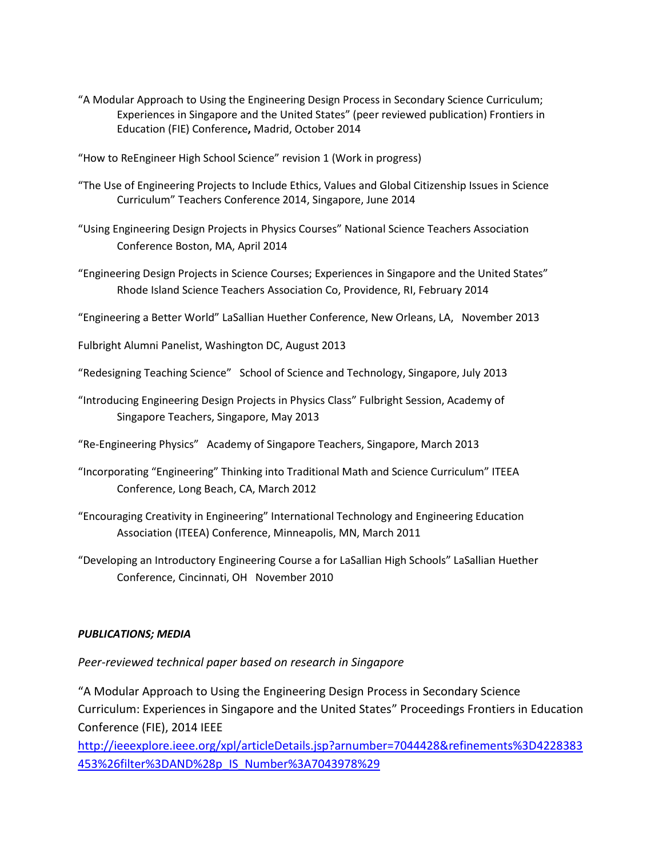- "A Modular Approach to Using the Engineering Design Process in Secondary Science Curriculum; Experiences in Singapore and the United States" (peer reviewed publication) Frontiers in Education (FIE) Conference**,** Madrid, October 2014
- "How to ReEngineer High School Science" revision 1 (Work in progress)
- "The Use of Engineering Projects to Include Ethics, Values and Global Citizenship Issues in Science Curriculum" Teachers Conference 2014, Singapore, June 2014
- "Using Engineering Design Projects in Physics Courses" National Science Teachers Association Conference Boston, MA, April 2014
- "Engineering Design Projects in Science Courses; Experiences in Singapore and the United States" Rhode Island Science Teachers Association Co, Providence, RI, February 2014

"Engineering a Better World" LaSallian Huether Conference, New Orleans, LA, November 2013

Fulbright Alumni Panelist, Washington DC, August 2013

"Redesigning Teaching Science" School of Science and Technology, Singapore, July 2013

"Introducing Engineering Design Projects in Physics Class" Fulbright Session, Academy of Singapore Teachers, Singapore, May 2013

"Re-Engineering Physics" Academy of Singapore Teachers, Singapore, March 2013

- "Incorporating "Engineering" Thinking into Traditional Math and Science Curriculum" ITEEA Conference, Long Beach, CA, March 2012
- "Encouraging Creativity in Engineering" International Technology and Engineering Education Association (ITEEA) Conference, Minneapolis, MN, March 2011

"Developing an Introductory Engineering Course a for LaSallian High Schools" LaSallian Huether Conference, Cincinnati, OH November 2010

# *PUBLICATIONS; MEDIA*

*Peer-reviewed technical paper based on research in Singapore*

"A Modular Approach to Using the Engineering Design Process in Secondary Science Curriculum: Experiences in Singapore and the United States" Proceedings Frontiers in Education Conference (FIE), 2014 IEEE

[http://ieeexplore.ieee.org/xpl/articleDetails.jsp?arnumber=7044428&refinements%3D4228383](http://ieeexplore.ieee.org/xpl/articleDetails.jsp?arnumber=7044428&refinements%3D4228383453%26filter%3DAND%28p_IS_Number%3A7043978%29) [453%26filter%3DAND%28p\\_IS\\_Number%3A7043978%29](http://ieeexplore.ieee.org/xpl/articleDetails.jsp?arnumber=7044428&refinements%3D4228383453%26filter%3DAND%28p_IS_Number%3A7043978%29)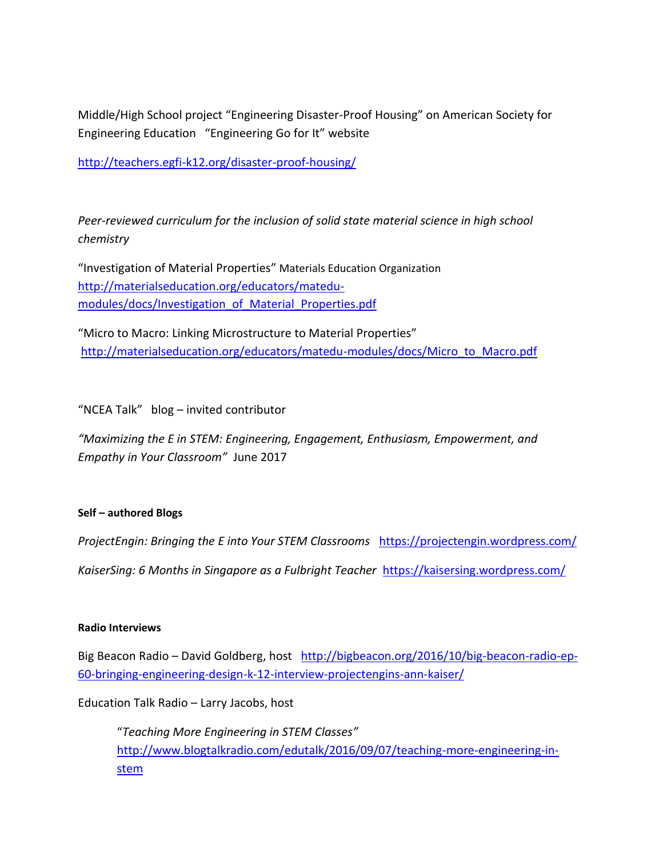Middle/High School project "Engineering Disaster-Proof Housing" on American Society for Engineering Education "Engineering Go for It" website

<http://teachers.egfi-k12.org/disaster-proof-housing/>

*Peer-reviewed curriculum for the inclusion of solid state material science in high school chemistry*

"Investigation of Material Properties" Materials Education Organization [http://materialseducation.org/educators/matedu](http://materialseducation.org/educators/matedu-modules/docs/Investigation_of_Material_Properties.pdf)[modules/docs/Investigation\\_of\\_Material\\_Properties.pdf](http://materialseducation.org/educators/matedu-modules/docs/Investigation_of_Material_Properties.pdf)

"Micro to Macro: Linking Microstructure to Material Properties" [http://materialseducation.org/educators/matedu-modules/docs/Micro\\_to\\_Macro.pdf](http://materialseducation.org/educators/matedu-modules/docs/Micro_to_Macro.pdf)

"NCEA Talk" blog – invited contributor

*"Maximizing the E in STEM: Engineering, Engagement, Enthusiasm, Empowerment, and Empathy in Your Classroom"* June 2017

# **Self – authored Blogs**

*ProjectEngin: Bringing the E into Your STEM Classrooms* <https://projectengin.wordpress.com/>

*KaiserSing: 6 Months in Singapore as a Fulbright Teacher* <https://kaisersing.wordpress.com/>

# **Radio Interviews**

Big Beacon Radio – David Goldberg, host [http://bigbeacon.org/2016/10/big-beacon-radio-ep-](http://bigbeacon.org/2016/10/big-beacon-radio-ep-60-bringing-engineering-design-k-12-interview-projectengins-ann-kaiser/)[60-bringing-engineering-design-k-12-interview-projectengins-ann-kaiser/](http://bigbeacon.org/2016/10/big-beacon-radio-ep-60-bringing-engineering-design-k-12-interview-projectengins-ann-kaiser/)

Education Talk Radio – Larry Jacobs, host

"*Teaching More Engineering in STEM Classes"*  [http://www.blogtalkradio.com/edutalk/2016/09/07/teaching-more-engineering-in](http://www.blogtalkradio.com/edutalk/2016/09/07/teaching-more-engineering-in-stem)[stem](http://www.blogtalkradio.com/edutalk/2016/09/07/teaching-more-engineering-in-stem)